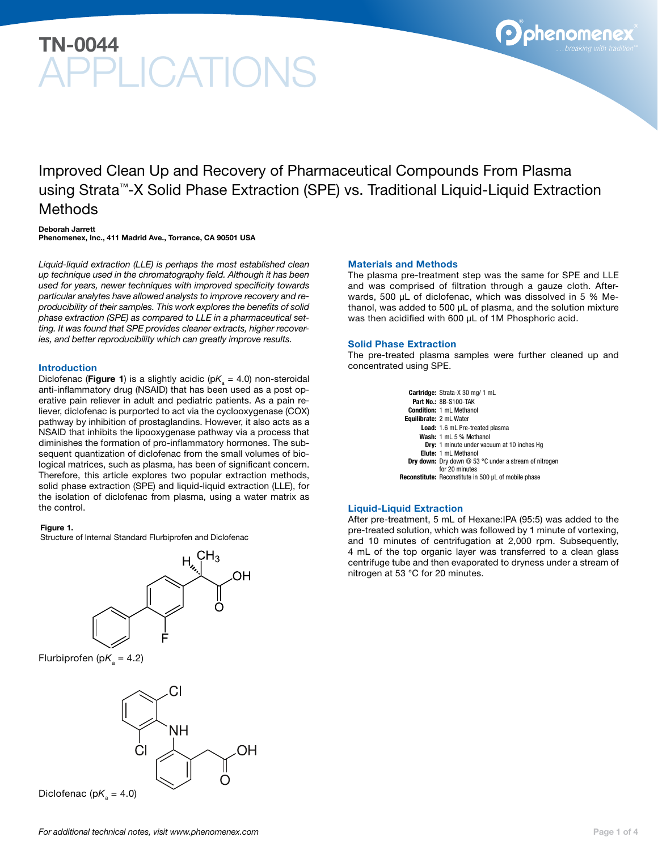# TN-0044 PLICATIONS

Improved Clean Up and Recovery of Pharmaceutical Compounds From Plasma using Strata™-X Solid Phase Extraction (SPE) vs. Traditional Liquid-Liquid Extraction Methods

#### Deborah Jarrett

Phenomenex, Inc., 411 Madrid Ave., Torrance, CA 90501 USA

*Liquid-liquid extraction (LLE) is perhaps the most established clean up technique used in the chromatography field. Although it has been used for years, newer techniques with improved specificity towards particular analytes have allowed analysts to improve recovery and reproducibility of their samples. This work explores the benefits of solid phase extraction (SPE) as compared to LLE in a pharmaceutical setting. It was found that SPE provides cleaner extracts, higher recoveries, and better reproducibility which can greatly improve results.*

#### Introduction

Diclofenac (**Figure 1**) is a slightly acidic (p $K$ <sub>a</sub> = 4.0) non-steroidal anti-inflammatory drug (NSAID) that has been used as a post operative pain reliever in adult and pediatric patients. As a pain reliever, diclofenac is purported to act via the cyclooxygenase (COX) pathway by inhibition of prostaglandins. However, it also acts as a NSAID that inhibits the lipooxygenase pathway via a process that diminishes the formation of pro-inflammatory hormones. The subsequent quantization of diclofenac from the small volumes of biological matrices, such as plasma, has been of significant concern. Therefore, this article explores two popular extraction methods, solid phase extraction (SPE) and liquid-liquid extraction (LLE), for the isolation of diclofenac from plasma, using a water matrix as the control.

#### Figure 1.

Structure of Internal Standard Flurbiprofen and Diclofenac

# ЮH

Flurbiprofen (p $K_a = 4.2$ )



Diclofenac (p $K_a = 4.0$ )

#### Materials and Methods

The plasma pre-treatment step was the same for SPE and LLE and was comprised of filtration through a gauze cloth. Afterwards, 500 µL of diclofenac, which was dissolved in 5 % Methanol, was added to 500 µL of plasma, and the solution mixture was then acidified with 600 µL of 1M Phosphoric acid.

#### Solid Phase Extraction

The pre-treated plasma samples were further cleaned up and concentrated using SPE.

> Cartridge: Strata-X 30 mg/ 1 mL Part No.: 8B-S100-TAK Condition: 1 mL Methanol Equilibrate: 2 mL Water Load: 1.6 mL Pre-treated plasma Wash: 1 mL 5 % Methanol Dry: 1 minute under vacuum at 10 inches Hg Elute: 1 mL Methanol Dry down: Dry down @ 53 °C under a stream of nitrogen for 20 minutes Reconstitute: Reconstitute in 500 µL of mobile phase

#### Liquid-Liquid Extraction

After pre-treatment, 5 mL of Hexane:IPA (95:5) was added to the pre-treated solution, which was followed by 1 minute of vortexing, and 10 minutes of centrifugation at 2,000 rpm. Subsequently, 4 mL of the top organic layer was transferred to a clean glass centrifuge tube and then evaporated to dryness under a stream of nitrogen at 53 °C for 20 minutes.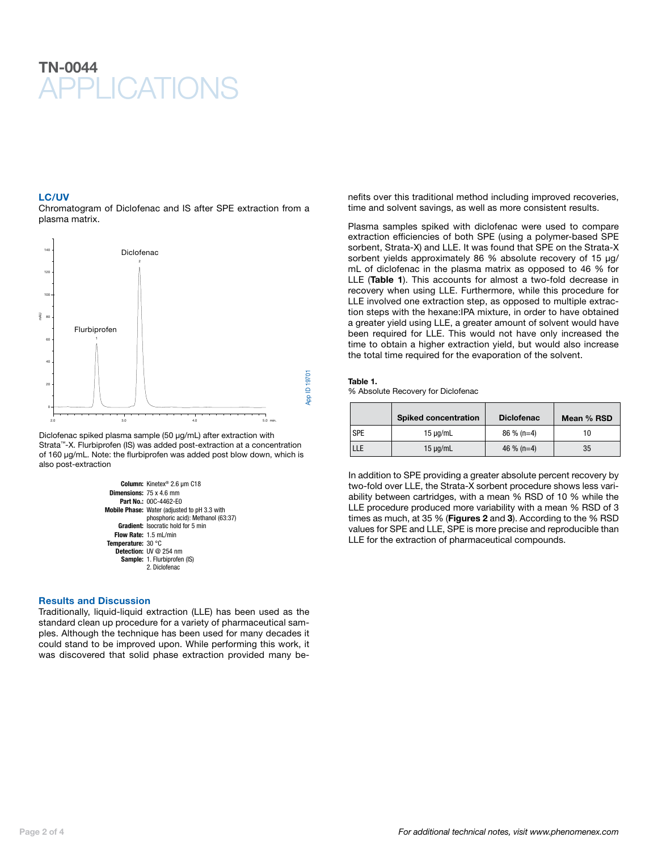## TN-0044 **PPI ICATIONS**

#### LC/UV

Chromatogram of Diclofenac and IS after SPE extraction from a plasma matrix.



Diclofenac spiked plasma sample (50 µg/mL) after extraction with Strata™-X. Flurbiprofen (IS) was added post-extraction at a concentration of 160 µg/mL. Note: the flurbiprofen was added post blow down, which is also post-extraction



#### Results and Discussion

Traditionally, liquid-liquid extraction (LLE) has been used as the standard clean up procedure for a variety of pharmaceutical samples. Although the technique has been used for many decades it could stand to be improved upon. While performing this work, it was discovered that solid phase extraction provided many be-

nefits over this traditional method including improved recoveries, time and solvent savings, as well as more consistent results.

Plasma samples spiked with diclofenac were used to compare extraction efficiencies of both SPE (using a polymer-based SPE sorbent, Strata-X) and LLE. It was found that SPE on the Strata-X sorbent yields approximately 86 % absolute recovery of 15 µg/ mL of diclofenac in the plasma matrix as opposed to 46 % for LLE (Table 1). This accounts for almost a two-fold decrease in recovery when using LLE. Furthermore, while this procedure for LLE involved one extraction step, as opposed to multiple extraction steps with the hexane:IPA mixture, in order to have obtained a greater yield using LLE, a greater amount of solvent would have been required for LLE. This would not have only increased the time to obtain a higher extraction yield, but would also increase the total time required for the evaporation of the solvent.

#### Table 1.

% Absolute Recovery for Diclofenac

|            | <b>Spiked concentration</b> | <b>Diclofenac</b> | Mean % RSD |
|------------|-----------------------------|-------------------|------------|
| <b>SPE</b> | $15 \mu q/mL$               | $86\%$ (n=4)      |            |
| LLE        | $15 \mu q/mL$               | 46 % (n=4)        | 35         |

In addition to SPE providing a greater absolute percent recovery by two-fold over LLE, the Strata-X sorbent procedure shows less variability between cartridges, with a mean % RSD of 10 % while the LLE procedure produced more variability with a mean % RSD of 3 times as much, at 35 % (Figures 2 and 3). According to the % RSD values for SPE and LLE, SPE is more precise and reproducible than LLE for the extraction of pharmaceutical compounds.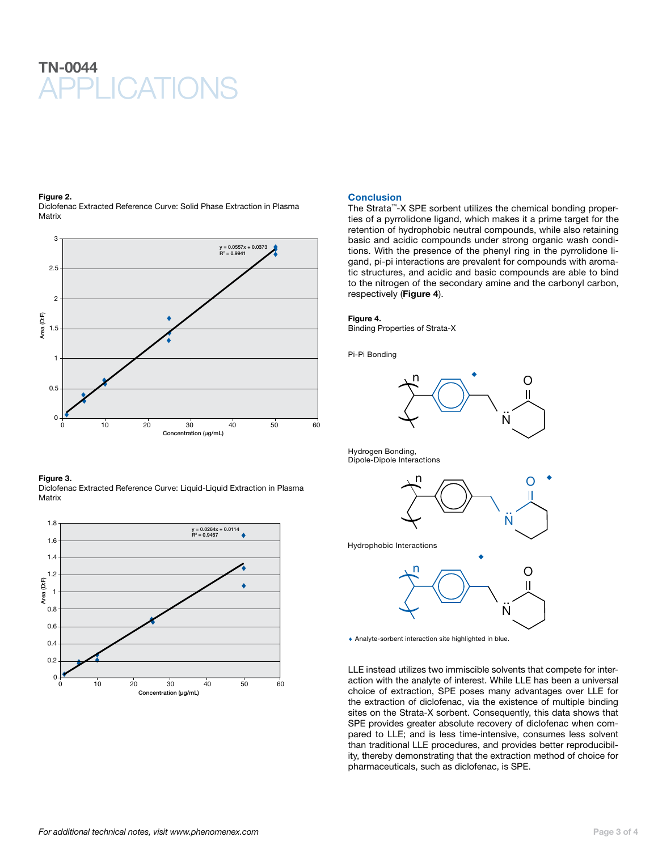## **APPLICATIONS** TN-0044

#### Figure 2.

Diclofenac Extracted Reference Curve: Solid Phase Extraction in Plasma **Matrix** 



Figure 3. Diclofenac Extracted Reference Curve: Liquid-Liquid Extraction in Plasma **Matrix** 



#### **Conclusion**

The Strata™-X SPE sorbent utilizes the chemical bonding properties of a pyrrolidone ligand, which makes it a prime target for the retention of hydrophobic neutral compounds, while also retaining basic and acidic compounds under strong organic wash conditions. With the presence of the phenyl ring in the pyrrolidone ligand, pi-pi interactions are prevalent for compounds with aromatic structures, and acidic and basic compounds are able to bind to the nitrogen of the secondary amine and the carbonyl carbon, respectively (Figure 4).

#### Figure 4.

Binding Properties of Strata-X

Pi-Pi Bonding



Hydrogen Bonding, Dipole-Dipole Interactions



Hydrophobic Interactions



♦ Analyte-sorbent interaction site highlighted in blue.

LLE instead utilizes two immiscible solvents that compete for interaction with the analyte of interest. While LLE has been a universal choice of extraction, SPE poses many advantages over LLE for the extraction of diclofenac, via the existence of multiple binding sites on the Strata-X sorbent. Consequently, this data shows that SPE provides greater absolute recovery of diclofenac when compared to LLE; and is less time-intensive, consumes less solvent than traditional LLE procedures, and provides better reproducibility, thereby demonstrating that the extraction method of choice for pharmaceuticals, such as diclofenac, is SPE.